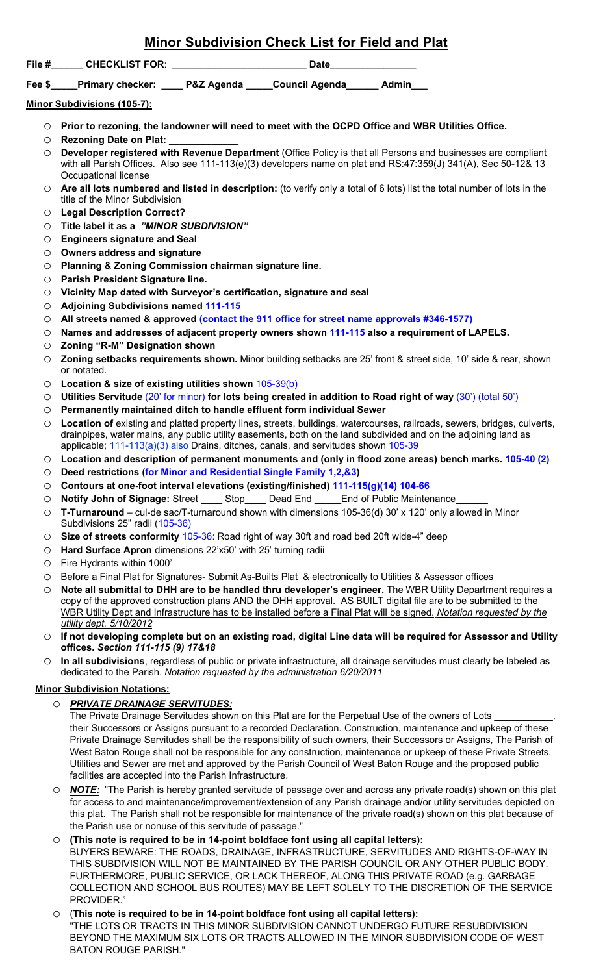## **Minor Subdivision Check List for Field and Plat**

**File #\_\_\_\_\_\_ CHECKLIST FOR**: **\_\_\_\_\_\_\_\_\_\_\_\_\_\_\_\_\_\_\_\_\_\_\_\_\_ Date\_\_\_\_\_\_\_\_\_\_\_\_\_\_\_\_**

**Fee \$\_\_\_\_\_Primary checker: \_\_\_\_ P&Z Agenda \_\_\_\_\_Council Agenda\_\_\_\_\_\_ Admin\_\_\_**

**Minor Subdivisions (105-7):** 

- o **Prior to rezoning, the landowner will need to meet with the OCPD Office and WBR Utilities Office.**
- o **Rezoning Date on Plat: \_\_\_\_\_\_\_\_\_\_\_\_\_**
- o **Developer registered with Revenue Department** (Office Policy is that all Persons and businesses are compliant with all Parish Offices. Also see 111-113(e)(3) developers name on plat and RS:47:359(J) 341(A), Sec 50-12& 13 Occupational license
- o **Are all lots numbered and listed in description:** (to verify only a total of 6 lots) list the total number of lots in the title of the Minor Subdivision
- o **Legal Description Correct?**
- o **Title label it as a** *"MINOR SUBDIVISION"*
- o **Engineers signature and Seal**
- o **Owners address and signature**
- o **Planning & Zoning Commission chairman signature line.**
- o **Parish President Signature line.**
- o **Vicinity Map dated with Surveyor's certification, signature and seal**
- o **Adjoining Subdivisions named 111-115**
- o **All streets named & approved (contact the 911 office for street name approvals #346-1577)**
- o **Names and addresses of adjacent property owners shown 111-115 also a requirement of LAPELS.**
- o **Zoning "R-M" Designation shown**
- **Zoning setbacks requirements shown.** Minor building setbacks are 25' front & street side, 10' side & rear, shown or notated.
- o **Location & size of existing utilities shown** 105-39(b)
- o **Utilities Servitude** (20' for minor) **for lots being created in addition to Road right of way** (30') (total 50')
- o **Permanently maintained ditch to handle effluent form individual Sewer**
- o **Location of** existing and platted property lines, streets, buildings, watercourses, railroads, sewers, bridges, culverts, drainpipes, water mains, any public utility easements, both on the land subdivided and on the adjoining land as applicable; 111-113(a)(3) also Drains, ditches, canals, and servitudes shown 105-39
- o **Location and description of permanent monuments and (only in flood zone areas) bench marks. 105-40 (2)**
- o **Deed restrictions (for Minor and Residential Single Family 1,2,&3)**
- o **Contours at one-foot interval elevations (existing/finished) 111-115(g)(14) 104-66**
- Notify John of Signage: Street \_\_\_\_\_ Stop\_\_\_\_\_ Dead End \_\_\_\_\_End of Public Maintenance
- o **T-Turnaround** cul-de sac/T-turnaround shown with dimensions 105-36(d) 30' x 120' only allowed in Minor Subdivisions 25" radii (105-36)
- o **Size of streets conformity** 105-36: Road right of way 30ft and road bed 20ft wide-4" deep
- o **Hard Surface Apron** dimensions 22'x50' with 25' turning radii \_\_\_
- $\circ$  Fire Hydrants within 1000'<br>  $\circ$  Before a Final Plat for Sign
- Before a Final Plat for Signatures- Submit As-Builts Plat & electronically to Utilities & Assessor offices
- o **Note all submittal to DHH are to be handled thru developer's engineer.** The WBR Utility Department requires a copy of the approved construction plans AND the DHH approval. AS BUILT digital file are to be submitted to the WBR Utility Dept and Infrastructure has to be installed before a Final Plat will be signed. *Notation requested by the utility dept. 5/10/2012*
- o **If not developing complete but on an existing road, digital Line data will be required for Assessor and Utility offices.** *Section 111-115 (9) 17&18*
- o **In all subdivisions**, regardless of public or private infrastructure, all drainage servitudes must clearly be labeled as dedicated to the Parish. *Notation requested by the administration 6/20/2011*

## **Minor Subdivision Notations:**

## o *PRIVATE DRAINAGE SERVITUDES:*

The Private Drainage Servitudes shown on this Plat are for the Perpetual Use of the owners of Lots their Successors or Assigns pursuant to a recorded Declaration. Construction, maintenance and upkeep of these Private Drainage Servitudes shall be the responsibility of such owners, their Successors or Assigns, The Parish of West Baton Rouge shall not be responsible for any construction, maintenance or upkeep of these Private Streets, Utilities and Sewer are met and approved by the Parish Council of West Baton Rouge and the proposed public facilities are accepted into the Parish Infrastructure.

- o *NOTE:* "The Parish is hereby granted servitude of passage over and across any private road(s) shown on this plat for access to and maintenance/improvement/extension of any Parish drainage and/or utility servitudes depicted on this plat. The Parish shall not be responsible for maintenance of the private road(s) shown on this plat because of the Parish use or nonuse of this servitude of passage."
- (This note is required to be in 14-point boldface font using all capital letters):
- BUYERS BEWARE: THE ROADS, DRAINAGE, INFRASTRUCTURE, SERVITUDES AND RIGHTS-OF-WAY IN THIS SUBDIVISION WILL NOT BE MAINTAINED BY THE PARISH COUNCIL OR ANY OTHER PUBLIC BODY. FURTHERMORE, PUBLIC SERVICE, OR LACK THEREOF, ALONG THIS PRIVATE ROAD (e.g. GARBAGE COLLECTION AND SCHOOL BUS ROUTES) MAY BE LEFT SOLELY TO THE DISCRETION OF THE SERVICE PROVIDER."
- o (**This note is required to be in 14-point boldface font using all capital letters):** "THE LOTS OR TRACTS IN THIS MINOR SUBDIVISION CANNOT UNDERGO FUTURE RESUBDIVISION BEYOND THE MAXIMUM SIX LOTS OR TRACTS ALLOWED IN THE MINOR SUBDIVISION CODE OF WEST BATON ROUGE PARISH."